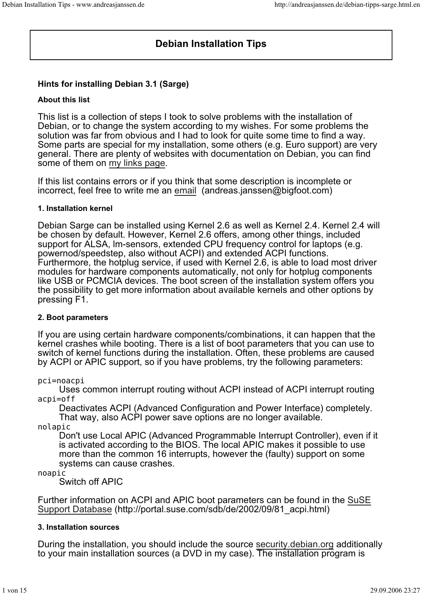# **Debian Installation Tips**

## **Hints for installing Debian 3.1 (Sarge)**

## **About this list**

This list is a collection of steps I took to solve problems with the installation of Debian, or to change the system according to my wishes. For some problems the solution was far from obvious and I had to look for quite some time to find a way. Some parts are special for my installation, some others (e.g. Euro support) are very general. There are plenty of websites with documentation on Debian, you can find some of them on my links page.

If this list contains errors or if you think that some description is incomplete or incorrect, feel free to write me an email (andreas.janssen@bigfoot.com)

#### **1. Installation kernel**

Debian Sarge can be installed using Kernel 2.6 as well as Kernel 2.4. Kernel 2.4 will be chosen by default. However, Kernel 2.6 offers, among other things, included support for ALSA, lm-sensors, extended CPU frequency control for laptops (e.g. powernod/speedstep, also without ACPI) and extended ACPI functions. Furthermore, the hotplug service, if used with Kernel 2.6, is able to load most driver modules for hardware components automatically, not only for hotplug components like USB or PCMCIA devices. The boot screen of the installation system offers you the possibility to get more information about available kernels and other options by pressing F1.

#### **2. Boot parameters**

If you are using certain hardware components/combinations, it can happen that the kernel crashes while booting. There is a list of boot parameters that you can use to switch of kernel functions during the installation. Often, these problems are caused by ACPI or APIC support, so if you have problems, try the following parameters:

#### pci=noacpi

Uses common interrupt routing without ACPI instead of ACPI interrupt routing acpi=off

Deactivates ACPI (Advanced Configuration and Power Interface) completely. That way, also ACPI power save options are no longer available.

nolapic

Don't use Local APIC (Advanced Programmable Interrupt Controller), even if it is activated according to the BIOS. The local APIC makes it possible to use more than the common 16 interrupts, however the (faulty) support on some systems can cause crashes.

#### noapic

Switch off APIC

Further information on ACPI and APIC boot parameters can be found in the SuSE Support Database (http://portal.suse.com/sdb/de/2002/09/81\_acpi.html)

#### **3. Installation sources**

During the installation, you should include the source security.debian.org additionally to your main installation sources (a DVD in my case). The installation program is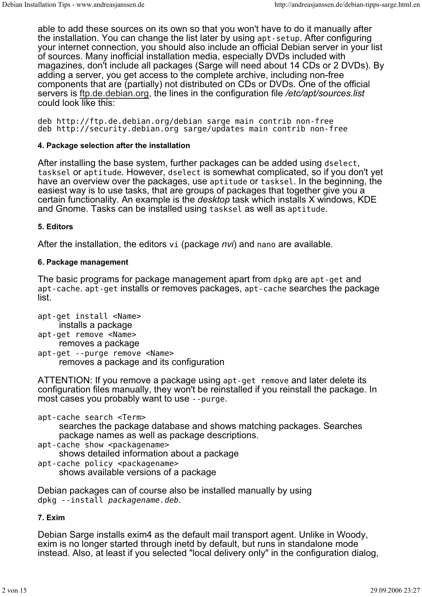able to add these sources on its own so that you won't have to do it manually after the installation. You can change the list later by using apt-setup. After configuring your internet connection, you should also include an official Debian server in your list of sources. Many inofficial installation media, especially DVDs included with magazines, don't include all packages (Sarge will need about 14 CDs or 2 DVDs). By adding a server, you get access to the complete archive, including non-free components that are (partially) not distributed on CDs or DVDs. One of the official servers is ftp.de.debian.org, the lines in the configuration file */etc/apt/sources.list* could look like this:

deb http://ftp.de.debian.org/debian sarge main contrib non-free deb http://security.debian.org sarge/updates main contrib non-free

## **4. Package selection after the installation**

After installing the base system, further packages can be added using dselect, tasksel or aptitude. However, dselect is somewhat complicated, so if you don't yet have an overview over the packages, use aptitude or tasksel. In the beginning, the easiest way is to use tasks, that are groups of packages that together give you a certain functionality. An example is the *desktop* task which installs X windows, KDE and Gnome. Tasks can be installed using tasksel as well as aptitude.

#### **5. Editors**

After the installation, the editors vi (package *nvi*) and nano are available.

### **6. Package management**

The basic programs for package management apart from dpkg are apt-get and apt-cache. apt-get installs or removes packages, apt-cache searches the package list.

- apt-get install <Name> installs a package
- apt-get remove <Name> removes a package
- apt-get --purge remove <Name> removes a package and its configuration

ATTENTION: If you remove a package using apt-get remove and later delete its configuration files manually, they won't be reinstalled if you reinstall the package. In most cases you probably want to use --purge.

- apt-cache search <Term> searches the package database and shows matching packages. Searches package names as well as package descriptions.
- apt-cache show <packagename> shows detailed information about a package
- apt-cache policy <packagename> shows available versions of a package

Debian packages can of course also be installed manually by using dpkg --install packagename.deb.

## **7. Exim**

Debian Sarge installs exim4 as the default mail transport agent. Unlike in Woody, exim is no longer started through inetd by default, but runs in standalone mode instead. Also, at least if you selected "local delivery only" in the configuration dialog,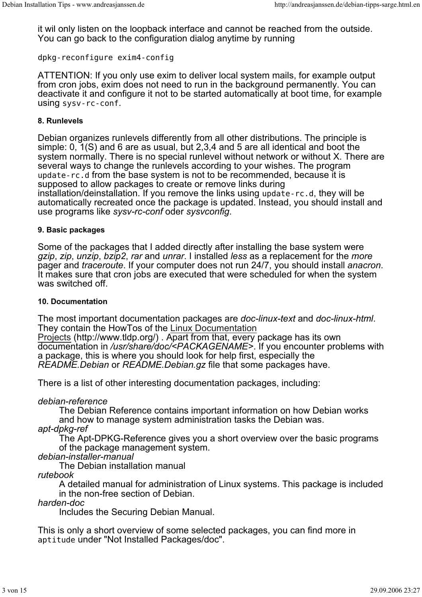it wil only listen on the loopback interface and cannot be reached from the outside. You can go back to the configuration dialog anytime by running

dpkg-reconfigure exim4-config

ATTENTION: If you only use exim to deliver local system mails, for example output from cron jobs, exim does not need to run in the background permanently. You can deactivate it and configure it not to be started automatically at boot time, for example using sysv-rc-conf.

#### **8. Runlevels**

Debian organizes runlevels differently from all other distributions. The principle is simple: 0, 1(S) and 6 are as usual, but 2,3,4 and 5 are all identical and boot the system normally. There is no special runlevel without network or without X. There are several ways to change the runlevels according to your wishes. The program update-rc.d from the base system is not to be recommended, because it is supposed to allow packages to create or remove links during installation/deinstallation. If you remove the links using update-rc.d, they will be automatically recreated once the package is updated. Instead, you should install and use programs like *sysv-rc-conf* oder *sysvconfig*.

## **9. Basic packages**

Some of the packages that I added directly after installing the base system were *gzip*, *zip*, *unzip*, *bzip2*, *rar* and *unrar*. I installed *less* as a replacement for the *more* pager and *traceroute*. If your computer does not run 24/7, you should install *anacron*. It makes sure that cron jobs are executed that were scheduled for when the system was switched off.

#### **10. Documentation**

The most important documentation packages are *doc-linux-text* and *doc-linux-html*. They contain the HowTos of the Linux Documentation

Projects (http://www.tldp.org/) . Apart from that, every package has its own documentation in */usr/share/doc/<PACKAGENAME>*. If you encounter problems with a package, this is where you should look for help first, especially the *README.Debian* or *README.Debian.gz* file that some packages have.

There is a list of other interesting documentation packages, including:

## *debian-reference*

The Debian Reference contains important information on how Debian works and how to manage system administration tasks the Debian was.

*apt-dpkg-ref*

The Apt-DPKG-Reference gives you a short overview over the basic programs of the package management system.

*debian-installer-manual*

The Debian installation manual

*rutebook*

A detailed manual for administration of Linux systems. This package is included in the non-free section of Debian.

## *harden-doc*

Includes the Securing Debian Manual.

This is only a short overview of some selected packages, you can find more in aptitude under "Not Installed Packages/doc".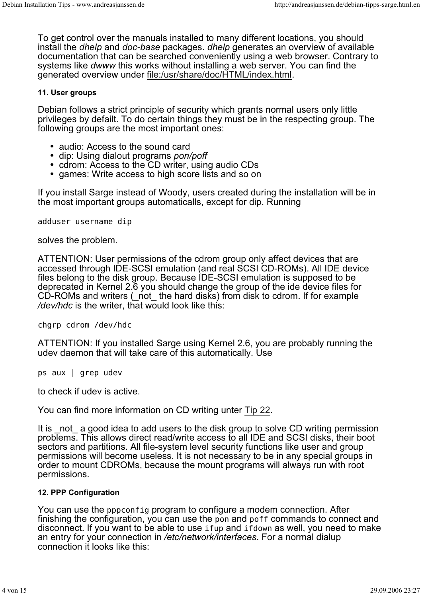To get control over the manuals installed to many different locations, you should install the *dhelp* and *doc-base* packages. *dhelp* generates an overview of available documentation that can be searched conveniently using a web browser. Contrary to systems like *dwww* this works without installing a web server. You can find the generated overview under file:/usr/share/doc/HTML/index.html.

## **11. User groups**

Debian follows a strict principle of security which grants normal users only little privileges by defailt. To do certain things they must be in the respecting group. The following groups are the most important ones:

- audio: Access to the sound card
- dip: Using dialout programs *pon/poff*
- cdrom: Access to the CD writer, using audio CDs
- games: Write access to high score lists and so on

If you install Sarge instead of Woody, users created during the installation will be in the most important groups automaticalls, except for dip. Running

adduser username dip

solves the problem.

ATTENTION: User permissions of the cdrom group only affect devices that are accessed through IDE-SCSI emulation (and real SCSI CD-ROMs). All IDE device files belong to the disk group. Because IDE-SCSI emulation is supposed to be deprecated in Kernel 2.6 you should change the group of the ide device files for CD-ROMs and writers (\_not\_ the hard disks) from disk to cdrom. If for example */dev/hdc* is the writer, that would look like this:

chgrp cdrom /dev/hdc

ATTENTION: If you installed Sarge using Kernel 2.6, you are probably running the udev daemon that will take care of this automatically. Use

ps aux | grep udev

to check if udev is active.

You can find more information on CD writing unter Tip 22.

It is not a good idea to add users to the disk group to solve CD writing permission problems. This allows direct read/write access to all IDE and SCSI disks, their boot sectors and partitions. All file-system level security functions like user and group permissions will become useless. It is not necessary to be in any special groups in order to mount CDROMs, because the mount programs will always run with root permissions.

### **12. PPP Configuration**

You can use the pppconfig program to configure a modem connection. After finishing the configuration, you can use the pon and poff commands to connect and disconnect. If you want to be able to use ifup and ifdown as well, you need to make an entry for your connection in */etc/network/interfaces*. For a normal dialup connection it looks like this: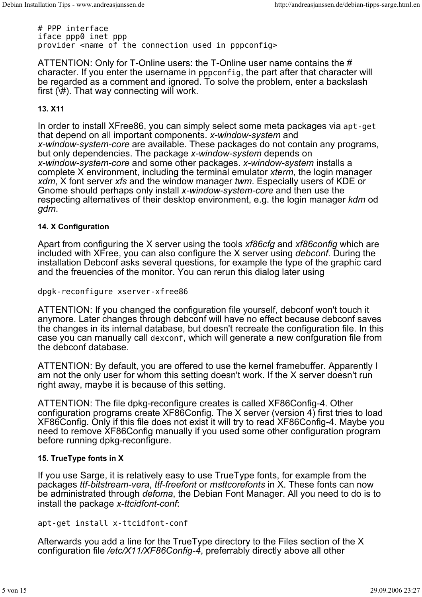# PPP interface iface ppp0 inet ppp provider <name of the connection used in pppconfig>

ATTENTION: Only for T-Online users: the T-Online user name contains the # character. If you enter the username in pppconfig, the part after that character will be regarded as a comment and ignored. To solve the problem, enter a backslash first  $(\forall \#)$ . That way connecting will work.

## **13. X11**

In order to install XFree86, you can simply select some meta packages via apt-get that depend on all important components. *x-window-system* and *x-window-system-core* are available. These packages do not contain any programs, but only dependencies. The package *x-window-system* depends on *x-window-system-core* and some other packages. *x-window-system* installs a complete X environment, including the terminal emulator *xterm*, the login manager *xdm*, X font server *xfs* and the window manager *twm*. Especially users of KDE or Gnome should perhaps only install *x-window-system-core* and then use the respecting alternatives of their desktop environment, e.g. the login manager *kdm* od *gdm*.

#### **14. X Configuration**

Apart from configuring the X server using the tools *xf86cfg* and *xf86config* which are included with XFree, you can also configure the X server using *debconf*. During the installation Debconf asks several questions, for example the type of the graphic card and the freuencies of the monitor. You can rerun this dialog later using

dpgk-reconfigure xserver-xfree86

ATTENTION: If you changed the configuration file yourself, debconf won't touch it anymore. Later changes through debconf will have no effect because debconf saves the changes in its internal database, but doesn't recreate the configuration file. In this case you can manually call dexconf, which will generate a new confguration file from the debconf database.

ATTENTION: By default, you are offered to use the kernel framebuffer. Apparently I am not the only user for whom this setting doesn't work. If the X server doesn't run right away, maybe it is because of this setting.

ATTENTION: The file dpkg-reconfigure creates is called XF86Config-4. Other configuration programs create XF86Config. The X server (version  $4$ ) first tries to load XF86Config. Only if this file does not exist it will try to read XF86Config-4. Maybe you need to remove XF86Config manually if you used some other configuration program before running dpkg-reconfigure.

#### **15. TrueType fonts in X**

If you use Sarge, it is relatively easy to use TrueType fonts, for example from the packages *ttf-bitstream-vera*, *ttf-freefont* or *msttcorefonts* in X. These fonts can now be administrated through *defoma*, the Debian Font Manager. All you need to do is to install the package *x-ttcidfont-conf*:

apt-get install x-ttcidfont-conf

Afterwards you add a line for the TrueType directory to the Files section of the X configuration file */etc/X11/XF86Config-4*, preferrably directly above all other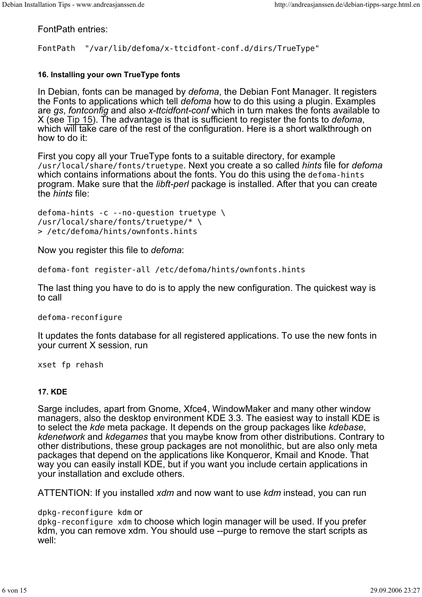FontPath entries:

FontPath "/var/lib/defoma/x-ttcidfont-conf.d/dirs/TrueType"

### **16. Installing your own TrueType fonts**

In Debian, fonts can be managed by *defoma*, the Debian Font Manager. It registers the Fonts to applications which tell *defoma* how to do this using a plugin. Examples are *gs*, *fontconfig* and also *x-ttcidfont-conf* which in turn makes the fonts available to X (see Tip 15). The advantage is that is sufficient to register the fonts to *defoma*, which will take care of the rest of the configuration. Here is a short walkthrough on how to do it:

First you copy all your TrueType fonts to a suitable directory, for example /usr/local/share/fonts/truetype. Next you create a so called *hints* file for *defoma* which contains informations about the fonts. You do this using the defoma-hints program. Make sure that the *libft-perl* package is installed. After that you can create the *hints* file:

defoma-hints -c --no-question truetype \ /usr/local/share/fonts/truetype/\* \ > /etc/defoma/hints/ownfonts.hints

Now you register this file to *defoma*:

defoma-font register-all /etc/defoma/hints/ownfonts.hints

The last thing you have to do is to apply the new configuration. The quickest way is to call

defoma-reconfigure

It updates the fonts database for all registered applications. To use the new fonts in your current X session, run

xset fp rehash

#### **17. KDE**

Sarge includes, apart from Gnome, Xfce4, WindowMaker and many other window managers, also the desktop environment KDE 3.3. The easiest way to install KDE is to select the *kde* meta package. It depends on the group packages like *kdebase*, *kdenetwork* and *kdegames* that you maybe know from other distributions. Contrary to other distributions, these group packages are not monolithic, but are also only meta packages that depend on the applications like Konqueror, Kmail and Knode. That way you can easily install KDE, but if you want you include certain applications in your installation and exclude others.

ATTENTION: If you installed *xdm* and now want to use *kdm* instead, you can run

dpkg-reconfigure kdm or

dpkg-reconfigure xdm to choose which login manager will be used. If you prefer kdm, you can remove xdm. You should use --purge to remove the start scripts as well: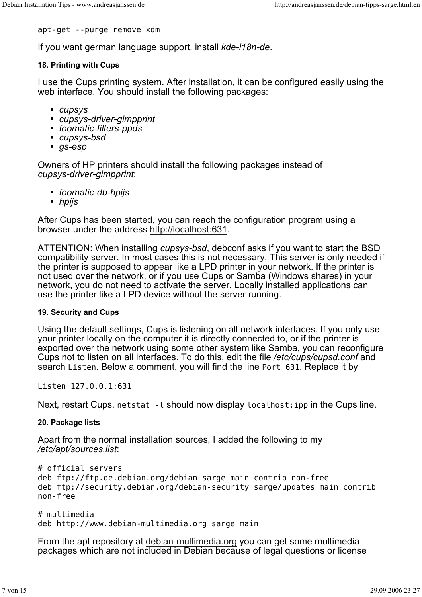apt-get --purge remove xdm

If you want german language support, install *kde-i18n-de*.

#### **18. Printing with Cups**

I use the Cups printing system. After installation, it can be configured easily using the web interface. You should install the following packages:

- *cupsys*
- *cupsys-driver-gimpprint*
- *foomatic-filters-ppds*
- *cupsys-bsd*
- *gs-esp*

Owners of HP printers should install the following packages instead of *cupsys-driver-gimpprint*:

- *foomatic-db-hpijs*
- *hpijs*

After Cups has been started, you can reach the configuration program using a browser under the address http://localhost:631.

ATTENTION: When installing *cupsys-bsd*, debconf asks if you want to start the BSD compatibility server. In most cases this is not necessary. This server is only needed if the printer is supposed to appear like a LPD printer in your network. If the printer is not used over the network, or if you use Cups or Samba (Windows shares) in your network, you do not need to activate the server. Locally installed applications can use the printer like a LPD device without the server running.

#### **19. Security and Cups**

Using the default settings, Cups is listening on all network interfaces. If you only use your printer locally on the computer it is directly connected to, or if the printer is exported over the network using some other system like Samba, you can reconfigure Cups not to listen on all interfaces. To do this, edit the file */etc/cups/cupsd.conf* and search Listen. Below a comment, you will find the line Port 631. Replace it by

Listen 127.0.0.1:631

Next, restart Cups. netstat -l should now display localhost: ipp in the Cups line.

#### **20. Package lists**

Apart from the normal installation sources, I added the following to my */etc/apt/sources.list*:

```
# official servers
deb ftp://ftp.de.debian.org/debian sarge main contrib non-free
deb ftp://security.debian.org/debian-security sarge/updates main contrib
non-free
```

```
# multimedia
deb http://www.debian-multimedia.org sarge main
```
From the apt repository at debian-multimedia.org you can get some multimedia packages which are not included in Debian because of legal questions or license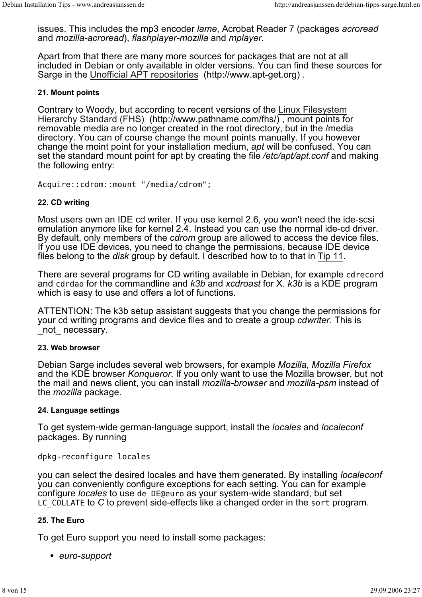issues. This includes the mp3 encoder *lame*, Acrobat Reader 7 (packages *acroread* and *mozilla-acroread*), *flashplayer-mozilla* and *mplayer*.

Apart from that there are many more sources for packages that are not at all included in Debian or only available in older versions. You can find these sources for Sarge in the Unofficial APT repositories (http://www.apt-get.org).

#### **21. Mount points**

Contrary to Woody, but according to recent versions of the Linux Filesystem Hierarchy Standard (FHS) (http://www.pathname.com/fhs/) , mount points for removable media are no longer created in the root directory, but in the /media directory. You can of course change the mount points manually. If you however change the moint point for your installation medium, *apt* will be confused. You can set the standard mount point for apt by creating the file */etc/apt/apt.conf* and making the following entry:

Acquire::cdrom::mount "/media/cdrom";

#### **22. CD writing**

Most users own an IDE cd writer. If you use kernel 2.6, you won't need the ide-scsi emulation anymore like for kernel 2.4. Instead you can use the normal ide-cd driver. By default, only members of the *cdrom* group are allowed to access the device files. If you use IDE devices, you need to change the permissions, because IDE device files belong to the *disk* group by default. I described how to to that in Tip 11.

There are several programs for CD writing available in Debian, for example cdrecord and cdrdao for the commandline and *k3b* and *xcdroast* for X. *k3b* is a KDE program which is easy to use and offers a lot of functions.

ATTENTION: The k3b setup assistant suggests that you change the permissions for your cd writing programs and device files and to create a group *cdwriter*. This is not necessary.

#### **23. Web browser**

Debian Sarge includes several web browsers, for example *Mozilla*, *Mozilla Firefox* and the KDE browser *Konqueror*. If you only want to use the Mozilla browser, but not the mail and news client, you can install *mozilla-browser* and *mozilla-psm* instead of the *mozilla* package.

#### **24. Language settings**

To get system-wide german-language support, install the *locales* and *localeconf* packages. By running

#### dpkg-reconfigure locales

you can select the desired locales and have them generated. By installing *localeconf* you can conveniently configure exceptions for each setting. You can for example configure *locales* to use de\_DE@euro as your system-wide standard, but set LC COLLATE to *C* to prevent side-effects like a changed order in the sort program.

#### **25. The Euro**

To get Euro support you need to install some packages:

*euro-support*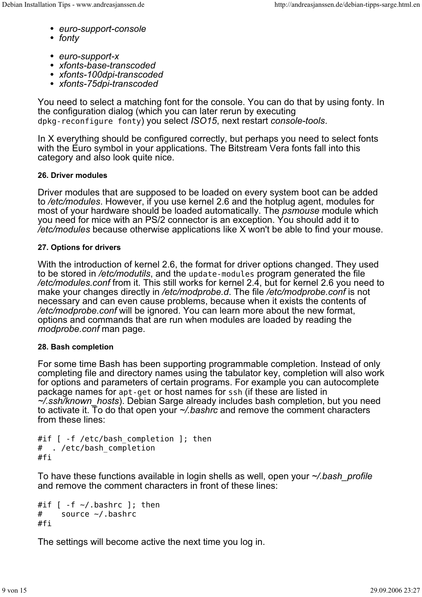- *euro-support-console*
- *fonty*
- *euro-support-x*
- *xfonts-base-transcoded*
- *xfonts-100dpi-transcoded*
- *xfonts-75dpi-transcoded*

You need to select a matching font for the console. You can do that by using fonty. In the configuration dialog (which you can later rerun by executing dpkg-reconfigure fonty) you select *ISO15*, next restart *console-tools*.

In X everything should be configured correctly, but perhaps you need to select fonts with the Euro symbol in your applications. The Bitstream Vera fonts fall into this category and also look quite nice.

## **26. Driver modules**

Driver modules that are supposed to be loaded on every system boot can be added to */etc/modules*. However, if you use kernel 2.6 and the hotplug agent, modules for most of your hardware should be loaded automatically. The *psmouse* module which you need for mice with an PS/2 connector is an exception. You should add it to */etc/modules* because otherwise applications like X won't be able to find your mouse.

### **27. Options for drivers**

With the introduction of kernel 2.6, the format for driver options changed. They used to be stored in */etc/modutils*, and the update-modules program generated the file */etc/modules.conf* from it. This still works for kernel 2.4, but for kernel 2.6 you need to make your changes directly in */etc/modprobe.d*. The file */etc/modprobe.conf* is not necessary and can even cause problems, because when it exists the contents of */etc/modprobe.conf* will be ignored. You can learn more about the new format, options and commands that are run when modules are loaded by reading the *modprobe.conf* man page.

#### **28. Bash completion**

For some time Bash has been supporting programmable completion. Instead of only completing file and directory names using the tabulator key, completion will also work for options and parameters of certain programs. For example you can autocomplete package names for apt-get or host names for ssh (if these are listed in *~/.ssh/known\_hosts*). Debian Sarge already includes bash completion, but you need to activate it. To do that open your *~/.bashrc* and remove the comment characters from these lines:

```
#if [ -f /etc/bash completion ]; then
# . /etc/bash_completion
#fi
```
To have these functions available in login shells as well, open your *~/.bash\_profile* and remove the comment characters in front of these lines:

```
#if \lceil -f \sim/.bashrc \lceil; then
# source ~/.bashrc
#fi
```
The settings will become active the next time you log in.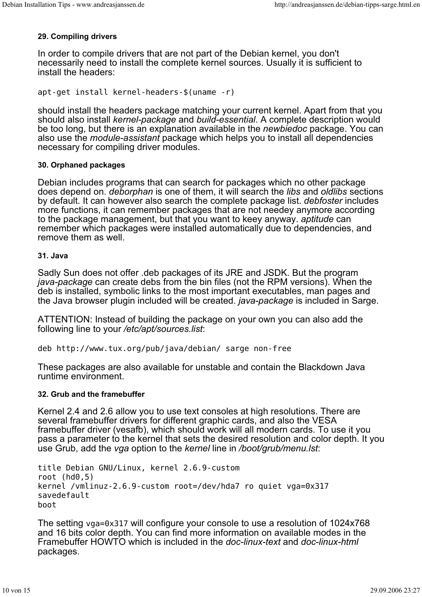## **29. Compiling drivers**

In order to compile drivers that are not part of the Debian kernel, you don't necessarily need to install the complete kernel sources. Usually it is sufficient to install the headers:

apt-get install kernel-headers-\$(uname -r)

should install the headers package matching your current kernel. Apart from that you should also install *kernel-package* and *build-essential*. A complete description would be too long, but there is an explanation available in the *newbiedoc* package. You can also use the *module-assistant* package which helps you to install all dependencies necessary for compiling driver modules.

#### **30. Orphaned packages**

Debian includes programs that can search for packages which no other package does depend on. *deborphan* is one of them, it will search the *libs* and *oldlibs* sections by default. It can however also search the complete package list. *debfoster* includes more functions, it can remember packages that are not needey anymore according to the package management, but that you want to keey anyway. *aptitude* can remember which packages were installed automatically due to dependencies, and remove them as well.

#### **31. Java**

Sadly Sun does not offer .deb packages of its JRE and JSDK. But the program *java-package* can create debs from the bin files (not the RPM versions). When the deb is installed, symbolic links to the most important executables, man pages and the Java browser plugin included will be created. *java-package* is included in Sarge.

ATTENTION: Instead of building the package on your own you can also add the following line to your */etc/apt/sources.list*:

deb http://www.tux.org/pub/java/debian/ sarge non-free

These packages are also available for unstable and contain the Blackdown Java runtime environment.

#### **32. Grub and the framebuffer**

Kernel 2.4 and 2.6 allow you to use text consoles at high resolutions. There are several framebuffer drivers for different graphic cards, and also the VESA framebuffer driver (vesafb), which should work will all modern cards. To use it you pass a parameter to the kernel that sets the desired resolution and color depth. It you use Grub, add the *vga* option to the *kernel* line in */boot/grub/menu.lst*:

```
title Debian GNU/Linux, kernel 2.6.9-custom
root (hd0,5)
kernel /vmlinuz-2.6.9-custom root=/dev/hda7 ro quiet vga=0x317
savedefault
boot
```

```
The setting vga=0x317 will configure your console to use a resolution of 1024x768
and 16 bits color depth. You can find more information on available modes in the
Framebuffer HOWTO which is included in the doc-linux-text and doc-linux-html
packages.
```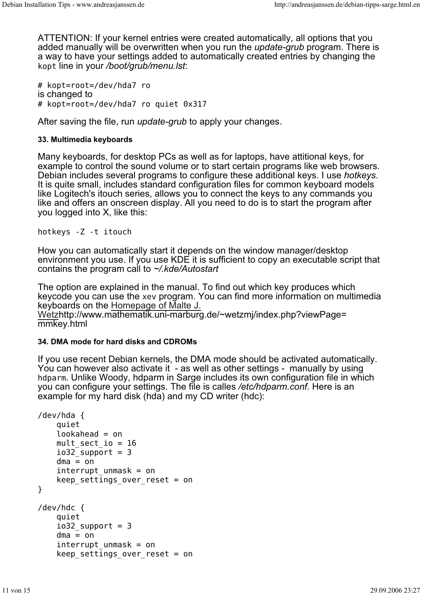ATTENTION: If your kernel entries were created automatically, all options that you added manually will be overwritten when you run the *update-grub* program. There is a way to have your settings added to automatically created entries by changing the kopt line in your */boot/grub/menu.lst*:

# kopt=root=/dev/hda7 ro is changed to # kopt=root=/dev/hda7 ro quiet 0x317

After saving the file, run *update-grub* to apply your changes.

#### **33. Multimedia keyboards**

Many keyboards, for desktop PCs as well as for laptops, have attitional keys, for example to control the sound volume or to start certain programs like web browsers. Debian includes several programs to configure these additional keys. I use *hotkeys*. It is quite small, includes standard configuration files for common keyboard models like Logitech's itouch series, allows you to connect the keys to any commands you like and offers an onscreen display. All you need to do is to start the program after you logged into X, like this:

hotkeys -Z -t itouch

How you can automatically start it depends on the window manager/desktop environment you use. If you use KDE it is sufficient to copy an executable script that contains the program call to *~/.kde/Autostart*

The option are explained in the manual. To find out which key produces which keycode you can use the xev program. You can find more information on multimedia keyboards on the Homepage of Malte J.

Wetzhttp://www.mathematik.uni-marburg.de/~wetzmj/index.php?viewPage= mmkey.html

#### **34. DMA mode for hard disks and CDROMs**

If you use recent Debian kernels, the DMA mode should be activated automatically. You can however also activate it - as well as other settings - manually by using hdparm. Unlike Woody, hdparm in Sarge includes its own configuration file in which you can configure your settings. The file is calles */etc/hdparm.conf*. Here is an example for my hard disk (hda) and my CD writer (hdc):

```
/dev/hda {
     quiet
     lookahead = on
    mult sect io = 16io32 support = 3
    dma = oninterrupt unmask = on
    keep settings over reset = on
}
/dev/hdc {
     quiet
    io32 support = 3
    dma = oninterrupt unmask = on
    keep settings over reset = on
```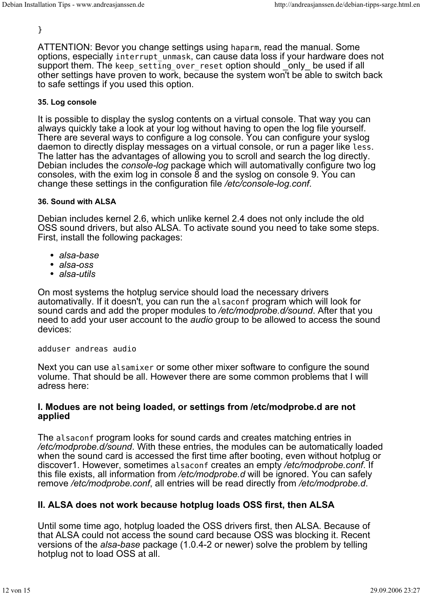## }

ATTENTION: Bevor you change settings using haparm, read the manual. Some options, especially interrupt\_unmask, can cause data loss if your hardware does not support them. The keep\_setting\_over\_reset option should \_only\_ be used if all other settings have proven to work, because the system won't be able to switch back to safe settings if you used this option.

#### **35. Log console**

It is possible to display the syslog contents on a virtual console. That way you can always quickly take a look at your log without having to open the log file yourself. There are several ways to configure a log console. You can configure your syslog daemon to directly display messages on a virtual console, or run a pager like less. The latter has the advantages of allowing you to scroll and search the log directly. Debian includes the *console-log* package which will automativally configure two log consoles, with the exim log in console 8 and the syslog on console 9. You can change these settings in the configuration file */etc/console-log.conf*.

#### **36. Sound with ALSA**

Debian includes kernel 2.6, which unlike kernel 2.4 does not only include the old OSS sound drivers, but also ALSA. To activate sound you need to take some steps. First, install the following packages:

- *alsa-base*
- *alsa-oss*
- *alsa-utils*

On most systems the hotplug service should load the necessary drivers automativally. If it doesn't, you can run the alsaconf program which will look for sound cards and add the proper modules to */etc/modprobe.d/sound*. After that you need to add your user account to the *audio* group to be allowed to access the sound devices:

adduser andreas audio

Next you can use alsamixer or some other mixer software to configure the sound volume. That should be all. However there are some common problems that I will adress here:

## **I. Modues are not being loaded, or settings from /etc/modprobe.d are not applied**

The alsaconf program looks for sound cards and creates matching entries in */etc/modprobe.d/sound*. With these entries, the modules can be automatically loaded when the sound card is accessed the first time after booting, even without hotplug or discover1. However, sometimes alsaconf creates an empty */etc/modprobe.conf*. If this file exists, all information from */etc/modprobe.d* will be ignored. You can safely remove */etc/modprobe.conf*, all entries will be read directly from */etc/modprobe.d*.

# **II. ALSA does not work because hotplug loads OSS first, then ALSA**

Until some time ago, hotplug loaded the OSS drivers first, then ALSA. Because of that ALSA could not access the sound card because OSS was blocking it. Recent versions of the *alsa-base* package (1.0.4-2 or newer) solve the problem by telling hotplug not to load OSS at all.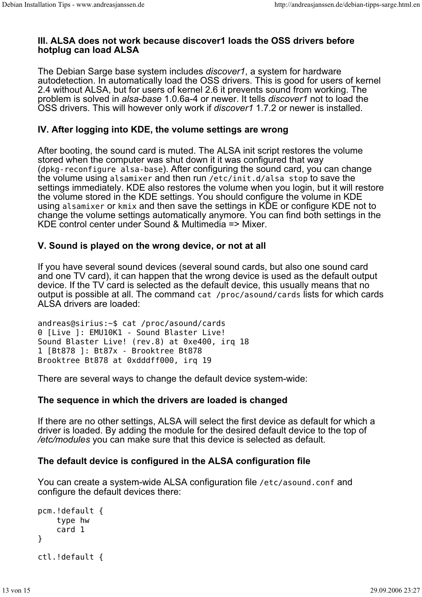## **III. ALSA does not work because discover1 loads the OSS drivers before hotplug can load ALSA**

The Debian Sarge base system includes *discover1*, a system for hardware autodetection. In automatically load the OSS drivers. This is good for users of kernel 2.4 without ALSA, but for users of kernel 2.6 it prevents sound from working. The problem is solved in *alsa-base* 1.0.6a-4 or newer. It tells *discover1* not to load the OSS drivers. This will however only work if *discover1* 1.7.2 or newer is installed.

## **IV. After logging into KDE, the volume settings are wrong**

After booting, the sound card is muted. The ALSA init script restores the volume stored when the computer was shut down it it was configured that way (dpkg-reconfigure alsa-base). After configuring the sound card, you can change the volume using alsamixer and then run /etc/init.d/alsa stop to save the settings immediately. KDE also restores the volume when you login, but it will restore the volume stored in the KDE settings. You should configure the volume in KDE using alsamixer or kmix and then save the settings in KDE or configure KDE not to change the volume settings automatically anymore. You can find both settings in the KDE control center under Sound & Multimedia => Mixer.

## **V. Sound is played on the wrong device, or not at all**

If you have several sound devices (several sound cards, but also one sound card and one TV card), it can happen that the wrong device is used as the default output device. If the TV card is selected as the default device, this usually means that no output is possible at all. The command cat /proc/asound/cards lists for which cards ALSA drivers are loaded:

andreas@sirius:~\$ cat /proc/asound/cards 0 [Live ]: EMU10K1 - Sound Blaster Live! Sound Blaster Live! (rev.8) at 0xe400, irq 18 1 [Bt878 ]: Bt87x - Brooktree Bt878 Brooktree Bt878 at 0xdddff000, irq 19

There are several ways to change the default device system-wide:

## **The sequence in which the drivers are loaded is changed**

If there are no other settings, ALSA will select the first device as default for which a driver is loaded. By adding the module for the desired default device to the top of */etc/modules* you can make sure that this device is selected as default.

## **The default device is configured in the ALSA configuration file**

You can create a system-wide ALSA configuration file /etc/asound.conf and configure the default devices there:

```
pcm.!default {
     type hw
     card 1
}
ctl.!default {
```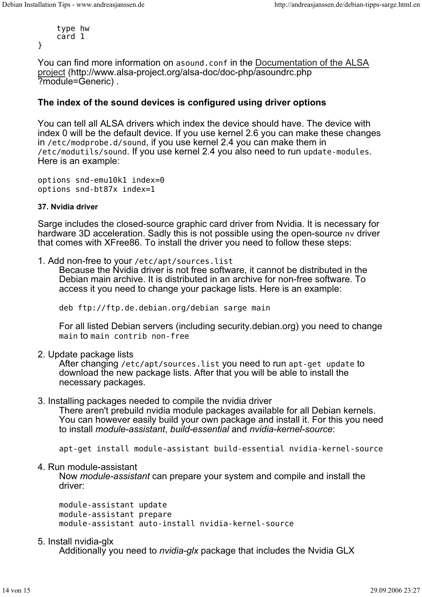type hw card 1

}

You can find more information on asound.conf in the Documentation of the ALSA project (http://www.alsa-project.org/alsa-doc/doc-php/asoundrc.php ?module=Generic) .

## **The index of the sound devices is configured using driver options**

You can tell all ALSA drivers which index the device should have. The device with index 0 will be the default device. If you use kernel 2.6 you can make these changes in /etc/modprobe.d/sound, if you use kernel 2.4 you can make them in /etc/modutils/sound. If you use kernel 2.4 you also need to run update-modules. Here is an example:

options snd-emu10k1 index=0 options snd-bt87x index=1

#### **37. Nvidia driver**

Sarge includes the closed-source graphic card driver from Nvidia. It is necessary for hardware 3D acceleration. Sadly this is not possible using the open-source nv driver that comes with XFree86. To install the driver you need to follow these steps:

1. Add non-free to your /etc/apt/sources.list

Because the Nvidia driver is not free software, it cannot be distributed in the Debian main archive. It is distributed in an archive for non-free software. To access it you need to change your package lists. Here is an example:

deb ftp://ftp.de.debian.org/debian sarge main

For all listed Debian servers (including security.debian.org) you need to change main to main contrib non-free

2. Update package lists

After changing /etc/apt/sources.list you need to run apt-get update to download the new package lists. After that you will be able to install the necessary packages.

#### 3. Installing packages needed to compile the nvidia driver

There aren't prebuild nvidia module packages available for all Debian kernels. You can however easily build your own package and install it. For this you need to install *module-assistant*, *build-essential* and *nvidia-kernel-source*:

apt-get install module-assistant build-essential nvidia-kernel-source

#### 4. Run module-assistant

Now *module-assistant* can prepare your system and compile and install the driver:

module-assistant update module-assistant prepare module-assistant auto-install nvidia-kernel-source

#### 5. Install nvidia-glx

Additionally you need to *nvidia-glx* package that includes the Nvidia GLX